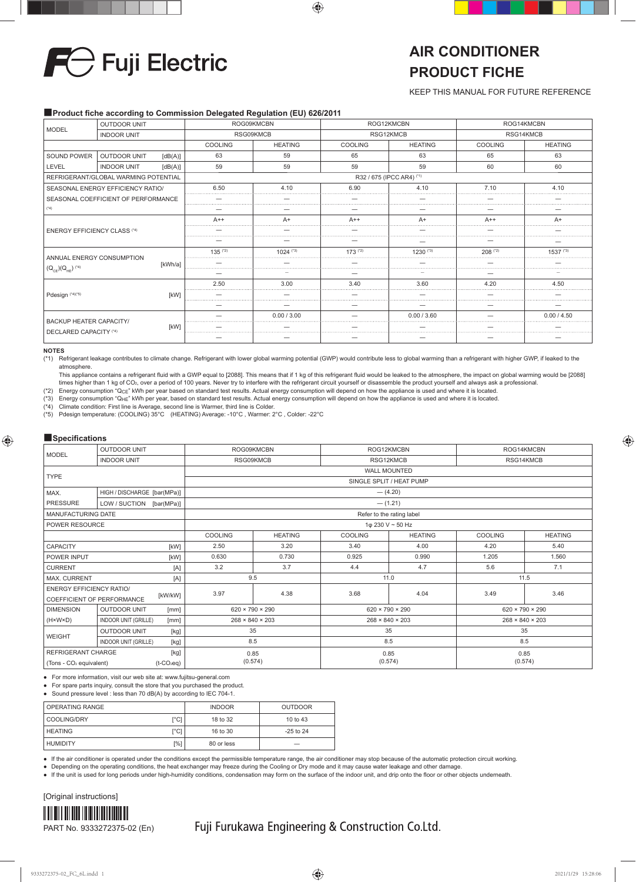

# **AIR CONDITIONER PRODUCT FICHE**

KEEP THIS MANUAL FOR FUTURE REFERENCE

### ■Product fiche according to Commission Delegated Regulation (EU) 626/2011

| <b>MODEL</b>                        | <b>OUTDOOR UNIT</b>                  |         |                | ROG09KMCBN     |                | ROG12KMCBN                                                                                                                                          | ROG14KMCBN |                |
|-------------------------------------|--------------------------------------|---------|----------------|----------------|----------------|-----------------------------------------------------------------------------------------------------------------------------------------------------|------------|----------------|
|                                     | <b>INDOOR UNIT</b>                   |         | RSG09KMCB      |                |                | RSG12KMCB<br>RSG14KMCB<br><b>COOLING</b><br><b>HEATING</b><br>63<br>65<br>65<br>59<br>59<br>60<br>R32 / 675 (IPCC AR4) (*1)<br>6.90<br>4.10<br>7.10 |            |                |
|                                     |                                      |         | <b>COOLING</b> | <b>HEATING</b> | <b>COOLING</b> |                                                                                                                                                     |            | <b>HEATING</b> |
| SOUND POWER                         | OUTDOOR UNIT                         | [dB(A)] | 63             | 59             |                |                                                                                                                                                     |            | 63             |
| LEVEL                               | <b>INDOOR UNIT</b>                   | [dB(A)] | 59             | 59             |                |                                                                                                                                                     |            | 60             |
|                                     | REFRIGERANT/GLOBAL WARMING POTENTIAL |         |                |                |                |                                                                                                                                                     |            |                |
|                                     | SEASONAL ENERGY EFFICIENCY RATIO/    |         | 6.50           | 4.10           |                | .                                                                                                                                                   |            | 4.10           |
|                                     | SEASONAL COEFFICIENT OF PERFORMANCE  |         |                |                |                |                                                                                                                                                     |            |                |
| $(*4)$                              |                                      |         |                |                |                |                                                                                                                                                     |            |                |
| <b>ENERGY EFFICIENCY CLASS (*4)</b> |                                      |         | $A++$          | A+             | $A++$          | $A+$                                                                                                                                                | $A++$      | $A+$           |
|                                     |                                      |         |                |                |                |                                                                                                                                                     |            |                |
|                                     |                                      |         |                |                |                |                                                                                                                                                     |            |                |
| ANNUAL ENERGY CONSUMPTION           |                                      |         | $135$ ( $2$ )  | $1024$ (*3)    | $173$ (*2)     | 1230 (*3)                                                                                                                                           | $208$ (*2) | 1537 (*3)      |
|                                     |                                      | [kWh/a] |                |                |                |                                                                                                                                                     |            |                |
| $(Q_{CE})(Q_{HE})$ (*4)             |                                      |         |                |                |                |                                                                                                                                                     |            |                |
|                                     |                                      |         | 2.50           | 3.00           | 3.40           | 3.60                                                                                                                                                | 4.20<br>   | 4.50           |
| Pdesign (*4)(*5)                    |                                      | [kW]    |                |                |                |                                                                                                                                                     |            |                |
|                                     |                                      |         |                |                |                |                                                                                                                                                     |            |                |
|                                     |                                      |         |                | 0.00 / 3.00    |                | 0.00 / 3.60                                                                                                                                         |            | 0.00 / 4.50    |
| <b>BACKUP HEATER CAPACITY/</b>      |                                      | [kW]    |                |                |                |                                                                                                                                                     |            |                |
| DECLARED CAPACITY (*4)              |                                      |         |                |                |                |                                                                                                                                                     |            |                |

#### **NOTES**

(\*1) Refrigerant leakage contributes to climate change. Refrigerant with lower global warming potential (GWP) would contribute less to global warming than a refrigerant with higher GWP, if leaked to the atmosphere.

This appliance contains a refrigerant fluid with a GWP equal to [2088]. This means that if 1 kg of this refrigerant fluid would be leaked to the atmosphere, the impact on global warming would be [2088] times higher than 1 kg of CO<sub>2</sub>, over a period of 100 years. Never try to interfere with the refrigerant circuit yourself or disassemble the product yourself and always ask a professional

(\*2) Energy consumption "QCE" kWh per year based on standard test results. Actual energy consumption will depend on how the appliance is used and where it is located.

(\*3) Energy consumption "QHE" kWh per year, based on standard test results. Actual energy consumption will depend on how the appliance is used and where it is located.

(\*4) Climate condition: First line is Average, second line is Warmer, third line is Colder.

(\*5) Pdesign temperature: (COOLING) 35°C (HEATING) Average: -10°C , Warmer: 2°C , Colder: -22°C

### ■**Specifications**

| <b>MODEL</b>                                 | <b>OUTDOOR UNIT</b>                 | ROG09KMCBN                  |                | ROG12KMCBN                  |                |                | ROG14KMCBN                  |  |
|----------------------------------------------|-------------------------------------|-----------------------------|----------------|-----------------------------|----------------|----------------|-----------------------------|--|
|                                              | <b>INDOOR UNIT</b>                  | RSG09KMCB<br>RSG12KMCB      |                |                             | RSG14KMCB      |                |                             |  |
|                                              |                                     | <b>WALL MOUNTED</b>         |                |                             |                |                |                             |  |
| <b>TYPE</b>                                  |                                     |                             |                | SINGLE SPLIT / HEAT PUMP    |                |                |                             |  |
| MAX.                                         | HIGH / DISCHARGE [bar(MPa)]         |                             |                | $-$ (4.20)                  |                |                |                             |  |
| PRESSURE                                     | LOW / SUCTION [bar(MPa)]            |                             |                | $- (1.21)$                  |                |                |                             |  |
| <b>MANUFACTURING DATE</b>                    |                                     |                             |                | Refer to the rating label   |                |                |                             |  |
| POWER RESOURCE                               |                                     |                             |                | 1φ 230 V ~ 50 Hz            |                |                |                             |  |
|                                              |                                     | <b>COOLING</b>              | <b>HEATING</b> | <b>COOLING</b>              | <b>HEATING</b> | <b>COOLING</b> | <b>HEATING</b>              |  |
| CAPACITY                                     | [kW]                                | 2.50                        | 3.20           | 3.40                        | 4.00           | 4.20           | 5.40                        |  |
| POWER INPUT<br>[kW]                          |                                     | 0.630                       | 0.730          | 0.925                       | 0.990          | 1.205          | 1.560                       |  |
| <b>CURRENT</b>                               | [A]                                 | 3.2                         | 3.7            | 4.4                         | 4.7            | 5.6            | 7.1                         |  |
| MAX. CURRENT                                 | [A]                                 | 9.5                         |                | 11.0                        |                |                | 11.5                        |  |
| <b>ENERGY EFFICIENCY RATIO/</b>              |                                     | 3.97                        | 4.38           | 3.68                        | 4.04           | 3.49           | 3.46                        |  |
| COEFFICIENT OF PERFORMANCE                   | [kW/kW]                             |                             |                |                             |                |                |                             |  |
| <b>DIMENSION</b>                             | <b>OUTDOOR UNIT</b><br>[mm]         | $620 \times 790 \times 290$ |                | $620 \times 790 \times 290$ |                |                | $620 \times 790 \times 290$ |  |
| $(H \times W \times D)$                      | <b>INDOOR UNIT (GRILLE)</b><br>[mm] | $268 \times 840 \times 203$ |                | $268 \times 840 \times 203$ |                |                | $268 \times 840 \times 203$ |  |
| <b>OUTDOOR UNIT</b><br>[kg]<br><b>WEIGHT</b> |                                     | 35                          |                | 35                          |                | 35             |                             |  |
|                                              | <b>INDOOR UNIT (GRILLE)</b><br>[kg] | 8.5                         |                | 8.5                         |                |                | 8.5                         |  |
| REFRIGERANT CHARGE                           | [kg]                                | 0.85                        |                | 0.85                        |                |                | 0.85                        |  |
| (Tons - CO <sub>2</sub> equivalent)          | $(t-CO_2eq)$                        | (0.574)                     |                | (0.574)                     |                |                | (0.574)                     |  |

● For more information, visit our web site at: www.fujitsu-general.com

● For spare parts inquiry, consult the store that you purchased the product.

● Sound pressure level : less than 70 dB(A) by according to IEC 704-1.

| <b>OPERATING RANGE</b>             | <b>INDOOR</b> | <b>OUTDOOR</b> |
|------------------------------------|---------------|----------------|
| $\Gamma^{\circ}$ C]<br>COOLING/DRY | 18 to 32      | 10 to 43       |
| $\lceil$ °Cl<br><b>HEATING</b>     | 16 to 30      | $-25$ to $24$  |
| [%]<br><b>HUMIDITY</b>             | 80 or less    | --             |

If the air conditioner is operated under the conditions except the permissible temperature range, the air conditioner may stop because of the automatic protection circuit working.

● Depending on the operating conditions, the heat exchanger may freeze during the Cooling or Dry mode and it may cause water leakage and other damage.

● If the unit is used for long periods under high-humidity conditions, condensation may form on the surface of the indoor unit, and drip onto the floor or other objects underneath



Fuji Furukawa Engineering & Construction Co.Ltd.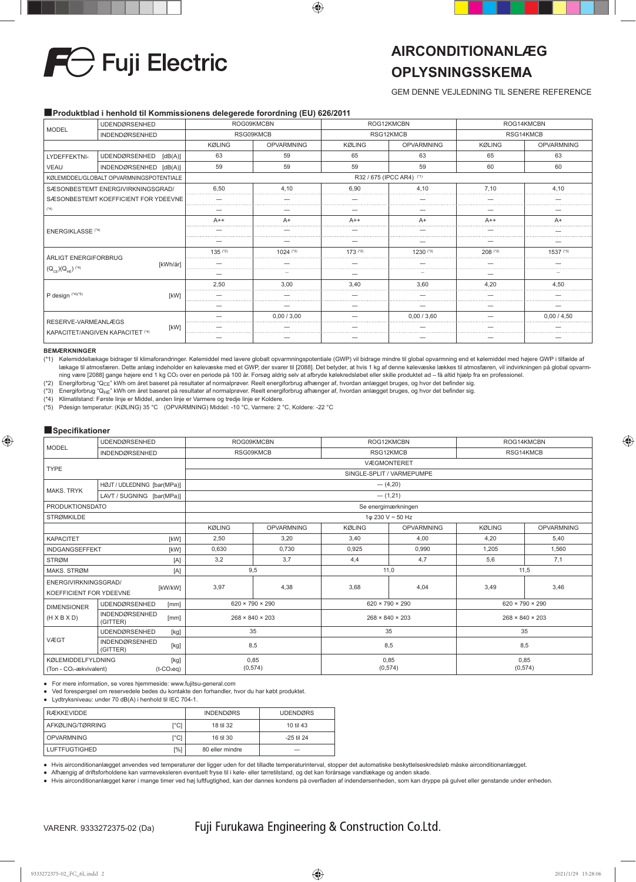

## **AIRCONDITIONANLÆG OPLYSNINGSSKEMA**

## GEM DENNE VEJLEDNING TIL SENERE REFERENCE

### ■**Produktblad i henhold til Kommissionens delegerede forordning (EU) 626/2011**

| <b>UDENDØRSENHED</b><br><b>MODEL</b><br><b>INDENDØRSENHED</b> |                                                 | ROG09KMCBN    |             |                           | ROG14KMCBN<br>ROG12KMCBN |               |             |
|---------------------------------------------------------------|-------------------------------------------------|---------------|-------------|---------------------------|--------------------------|---------------|-------------|
|                                                               |                                                 | RSG09KMCB     |             |                           | RSG12KMCB                | RSG14KMCB     |             |
|                                                               |                                                 | <b>KØLING</b> | OPVARMNING  | <b>KØLING</b>             | <b>OPVARMNING</b>        | <b>KØLING</b> | OPVARMNING  |
| LYDEFFEKTNI-                                                  | <b>UDENDØRSENHED</b><br>[dB(A)]                 | 63            | 59          | 65                        | 63                       | 65            | 63          |
| VEAU                                                          | INDENDØRSENHED [dB(A)]                          | 59            | 59          | 59                        | 59                       | 60            | 60          |
|                                                               | KØLEMIDDEL/GLOBALT OPVARMNINGSPOTENTIALE        |               |             | R32 / 675 (IPCC AR4) (*1) |                          |               |             |
|                                                               | SÆSONBESTEMT ENERGIVIRKNINGSGRAD/               | 6.50          | 4.10        | 6.90                      | 4.10                     | 7.10          | 4.10<br>    |
|                                                               | SÆSONBESTEMT KOEFFICIENT FOR YDEEVNE            |               |             |                           |                          |               |             |
| $(^{*}4)$                                                     |                                                 |               |             |                           |                          |               |             |
| <b>ENERGIKLASSE (*4)</b>                                      |                                                 | $A++$         | $A+$        | $A++$                     | $A+$                     | $A++$         | $A+$        |
|                                                               |                                                 |               |             |                           |                          |               |             |
|                                                               |                                                 |               |             |                           |                          |               |             |
| ÅRLIGT ENERGIFORBRUG                                          |                                                 | $135^{(2)}$   | $1024$ (*3) | $173$ (*2)                | 1230(3)                  | $208$ ( $2$ ) | 1537 (*3)   |
|                                                               | <b>IkWh/årl</b>                                 |               |             |                           |                          |               |             |
| $(Q_{CE}) (Q_{HE})$ <sup>(4)</sup>                            |                                                 |               |             |                           |                          |               |             |
|                                                               |                                                 | 2.50          | 3.00        | 3.40                      | 3.60                     | 4.20          | 4.50        |
| P design (*4)(*5)                                             | [kW]                                            |               |             |                           |                          |               |             |
|                                                               |                                                 |               |             |                           |                          |               |             |
|                                                               |                                                 |               | 0.00 / 3.00 |                           | 0.00 / 3.60              |               | 0.00 / 4.50 |
| RESERVE-VARMEANLÆGS                                           | [kW]<br><b>KAPACITET/ANGIVEN KAPACITET (*4)</b> |               |             |                           |                          |               |             |
|                                                               |                                                 |               |             |                           |                          |               |             |

#### **BEMÆRKNINGER**

(\*1) Kølemiddellækage bidrager til klimaforandringer. Kølemiddel med lavere globalt opvarmningspotentiale (GWP) vil bidrage mindre til global opvarmning end et kølemiddel med højere GWP i tilfælde af lækage til atmosfæren. Dette anlæg indeholder en kølevæske med et GWP, der svarer til [2088]. Det betyder, at hvis 1 kg af denne kølevæske lækkes til atmosfæren, vil indvirkningen på global opvarm-<br>ning være [2088] gange

(\*2) Energiforbrug "QCE" kWh om året baseret på resultater af normalprøver. Reelt energiforbrug afhænger af, hvordan anlægget bruges, og hvor det befi nder sig.

(\*3) Energiforbrug "Q<sub>HE</sub>" kWh om året baseret på resultater af normalprøver. Reelt energiforbrug afhænger af, hvordan anlægget bruges, og hvor det befinder sig.<br>(\*4) Klimatilstand: Første linje er Middel, anden linje er V

(\*4) Klimatilstand: Første linje er Middel, anden linje er Varmere og tredje linje er Koldere. Pdesign temperatur: (KØLING) 35 °C (OPVARMNING) Middel: -10 °C, Varmere: 2 °C, Koldere: -22 °C

### ■**Specifikationer**

| <b>MODEL</b>                                                                                          | <b>UDENDØRSENHED</b>                      |                           | ROG09KMCBN                  |               | ROG12KMCBN                  | ROG14KMCBN    |                             |  |
|-------------------------------------------------------------------------------------------------------|-------------------------------------------|---------------------------|-----------------------------|---------------|-----------------------------|---------------|-----------------------------|--|
|                                                                                                       | <b>INDENDØRSENHED</b>                     | RSG09KMCB<br>RSG12KMCB    |                             |               |                             | RSG14KMCB     |                             |  |
| <b>TYPE</b>                                                                                           |                                           | <b>VÆGMONTERET</b>        |                             |               |                             |               |                             |  |
|                                                                                                       |                                           | SINGLE-SPLIT / VARMEPUMPE |                             |               |                             |               |                             |  |
| <b>MAKS, TRYK</b>                                                                                     | HØJT / UDLEDNING [bar(MPa)]               |                           |                             |               | $-$ (4,20)                  |               |                             |  |
|                                                                                                       | LAVT / SUGNING [bar(MPa)]                 |                           |                             |               | $-$ (1,21)                  |               |                             |  |
| <b>PRODUKTIONSDATO</b>                                                                                |                                           |                           |                             |               | Se energimærkningen         |               |                             |  |
| <b>STRØMKILDE</b>                                                                                     |                                           |                           |                             |               | 1φ 230 V ~ 50 Hz            |               |                             |  |
|                                                                                                       |                                           | <b>KØLING</b>             | <b>OPVARMNING</b>           | <b>KØLING</b> | <b>OPVARMNING</b>           | <b>KØLING</b> | <b>OPVARMNING</b>           |  |
| <b>KAPACITET</b><br>[kW]                                                                              |                                           | 2,50                      | 3,20                        | 3,40          | 4,00                        | 4,20          | 5.40                        |  |
| <b>INDGANGSEFFEKT</b><br>[kW]                                                                         |                                           | 0,630                     | 0,730                       | 0,925         | 0,990                       | 1,205         | 1,560                       |  |
| <b>STRØM</b><br>[A]                                                                                   |                                           | 3,2                       | 3.7                         | 4,4           | 4,7                         | 5,6           | 7,1                         |  |
| MAKS, STRØM                                                                                           | [A]                                       |                           | 9,5                         | 11,0          |                             | 11,5          |                             |  |
| ENERGIVIRKNINGSGRAD/<br>KOEFFICIENT FOR YDEEVNE                                                       | [kW/kW]                                   | 3,97                      | 4,38                        | 3,68          | 4,04                        | 3,49          | 3,46                        |  |
| <b>DIMENSIONER</b>                                                                                    | <b>UDENDØRSENHED</b><br>[mm]              |                           | $620 \times 790 \times 290$ |               | $620 \times 790 \times 290$ |               | $620 \times 790 \times 290$ |  |
| $(H \times B \times D)$                                                                               | <b>INDENDØRSENHED</b><br>[mm]<br>(GITTER) |                           | $268 \times 840 \times 203$ |               | $268 \times 840 \times 203$ |               | $268 \times 840 \times 203$ |  |
| <b>UDENDØRSENHED</b><br>35<br>[kg]                                                                    |                                           |                           |                             | 35            |                             | 35            |                             |  |
| VÆGT<br><b>INDENDØRSENHED</b><br>8,5<br>[kg]<br>(GITTER)                                              |                                           |                           |                             | 8,5           |                             | 8,5           |                             |  |
| <b>KØLEMIDDELFYLDNING</b><br>[kg]<br>(Ton - CO <sub>2</sub> -ækvivalent)<br>$(t$ -CO <sub>2</sub> eq) |                                           |                           | 0,85<br>(0, 574)            |               | 0,85<br>(0, 574)            |               | 0,85<br>(0, 574)            |  |

● For mere information, se vores hjemmeside: www.fujitsu-general.com

● Ved forespørgsel om reservedele bedes du kontakte den forhandler, hvor du har købt produktet.

● Lydtryksniveau: under 70 dB(A) i henhold til IEC 704-1.

| RÆKKEVIDDE           |                 | <b>INDENDØRS</b> | <b>UDENDØRS</b> |
|----------------------|-----------------|------------------|-----------------|
| AFKØLING/TØRRING     | <sup>c</sup> C1 | 18 til 32        | 10 til 43       |
| <b>OPVARMNING</b>    | <sup>c</sup> C1 | 16 til 30        | -25 til 24      |
| <b>LUFTFUGTIGHED</b> | [%]             | 80 eller mindre  |                 |

● Hvis airconditionanlægget anvendes ved temperaturer der ligger uden for det tilladte temperaturinterval, stopper det automatiske beskyttelseskredsløb måske airconditionanlægget.

● Afhængig af driftsforholdene kan varmeveksleren eventuelt fryse til i køle- eller tørretilstand, og det kan forårsage vandlækage og anden skade.

● Hvis airconditionanlægget kører i mange timer ved høj luftfugtighed, kan der dannes kondens på overfl aden af indendørsenheden, som kan dryppe på gulvet eller genstande under enheden.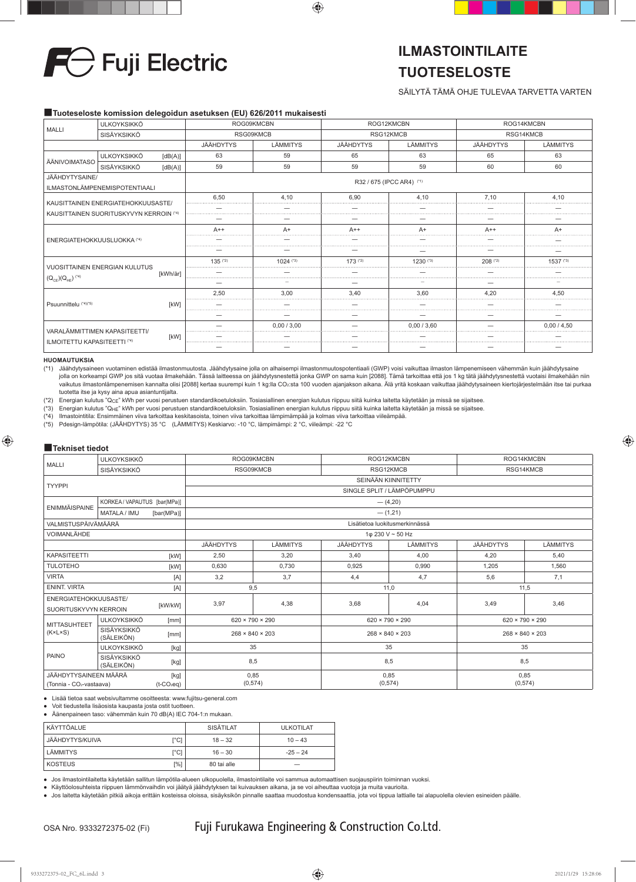

## **ILMASTOINTILAITE TUOTESELOSTE**

## SÄILYTÄ TÄMÄ OHJE TULEVAA TARVETTA VARTEN

### ■**Tuoteseloste komission delegoidun asetuksen (EU) 626/2011 mukaisesti**

| <b>ULKOYKSIKKÖ</b><br><b>MALLI</b>                                            |                               |          | ROG09KMCBN           | ROG12KMCBN  |                           | ROG14KMCBN   |                                                                                                      |          |  |
|-------------------------------------------------------------------------------|-------------------------------|----------|----------------------|-------------|---------------------------|--------------|------------------------------------------------------------------------------------------------------|----------|--|
|                                                                               | SISÄYKSIKKÖ                   |          | RSG09KMCB            |             | RSG12KMCB                 |              |                                                                                                      |          |  |
|                                                                               |                               |          | JÄÄHDYTYS            | LÄMMITYS    | JÄÄHDYTYS                 | LÄMMITYS     | JÄÄHDYTYS                                                                                            | LÄMMITYS |  |
|                                                                               | <b>ULKOYKSIKKÖ</b>            | [dB(A)]  | 63                   | 59          | 65                        | 63           | 65                                                                                                   | 63       |  |
| ÄÄNIVOIMATASO                                                                 | SISÄYKSIKKÖ                   | [dB(A)]  | 59                   | 59          | 59                        | 59           | 60                                                                                                   | 60       |  |
| JÄÄHDYTYSAINE/                                                                |                               |          |                      |             | R32 / 675 (IPCC AR4) (*1) |              |                                                                                                      |          |  |
|                                                                               | ILMASTONLÄMPENEMISPOTENTIAALI |          |                      |             |                           |              | RSG14KMCB<br>7.10<br>4.10<br>$A++$<br>A+<br>$208$ (*2)<br>$1537$ (*3)<br>4,20<br>4.50<br>0.00 / 4.50 |          |  |
|                                                                               |                               |          | 6.50                 | 4.10        | 6.90                      | 4.10         |                                                                                                      |          |  |
| KAUSITTAINEN ENERGIATEHOKKUUSASTE/<br>KAUSITTAINEN SUORITUSKYVYN KERROIN (*4) |                               |          |                      |             |                           |              |                                                                                                      |          |  |
|                                                                               |                               |          |                      |             |                           |              |                                                                                                      |          |  |
|                                                                               |                               |          | $A++$                |             | $A++$                     | A+           |                                                                                                      |          |  |
| ENERGIATEHOKKUUSLUOKKA (*4)                                                   |                               |          |                      |             |                           |              |                                                                                                      |          |  |
|                                                                               |                               |          |                      |             |                           |              |                                                                                                      |          |  |
|                                                                               | VUOSITTAINEN ENERGIAN KULUTUS |          | $135$ <sup>(2)</sup> | 1024 (*3)   | $173$ $(2)$               | $1230^{(3)}$ |                                                                                                      |          |  |
|                                                                               |                               | [kWh/år] |                      |             |                           |              |                                                                                                      |          |  |
| $(Q_{CE}) (Q_{HE})$ (*4)                                                      |                               |          |                      |             |                           |              |                                                                                                      |          |  |
|                                                                               |                               |          | 2,50                 | 3.00        | 3,40                      | 3,60         |                                                                                                      |          |  |
| Psuunnittelu (*4)(*5)                                                         |                               | [kW]     |                      |             |                           |              |                                                                                                      |          |  |
|                                                                               |                               |          |                      |             |                           |              |                                                                                                      |          |  |
|                                                                               | VARALÄMMITTIMEN KAPASITEETTI/ |          |                      | 0.00 / 3.00 |                           | 0.00 / 3.60  |                                                                                                      |          |  |
| ILMOITETTU KAPASITEETTI (*4)                                                  |                               | [kW]     |                      |             |                           |              |                                                                                                      |          |  |
|                                                                               |                               |          |                      |             |                           |              |                                                                                                      |          |  |

#### **HUOMAUTUKSIA**

(\*1) Jäähdytysaineen vuotaminen edistää ilmastonmuutosta. Jäähdytysaine jolla on alhaisempi ilmastonmuutospotentiaali (GWP) voisi vaikuttaa ilmaston lämpenemiseen vähemmän kuin jäähdytysaine jolla on korkeampi GWP jos sitä vuotaa ilmakehään. Tässä laitteessa on jäähdytysnestettä jonka GWP on sama kuin [2088]. Tämä tarkoittaa että jos 1 kg tätä jäähdytysnestettä vuotaisi ilmakehään niin vaikutus ilmastonlämpenemisen kannalta olisi [2088] kertaa suurempi kuin 1 kg:lla CO2:sta 100 vuoden ajanjakson aikana. Älä yritä koskaan vaikuttaa jäähdytysaineen kiertojärjestelmään itse tai purkaa tuotetta itse ja kysy aina apua asiantuntijalta.

(\*2) Energian kulutus "QCE" kWh per vuosi perustuen standardikoetuloksiin. Tosiasiallinen energian kulutus riippuu siitä kuinka laitetta käytetään ja missä se sijaitsee.

(\*3) Energian kulutus "Q<sub>HE</sub>" kWh per vuosi perustuen standardikoetuloksiin. Tosiasiallinen energian kulutus riippuu siitä kuinka laitetta käytetään ja missä se sijaitsee.<br>(\*4) Ilmastointitila: Ensimmäinen viiva tarkoittaa

(\*4) Ilmastointitila: Ensimmäinen viiva tarkoittaa keskitasoista, toinen viiva tarkoittaa lämpimämpää ja kolmas viiva tarkoittaa viileämpää.

(\*5) Pdesign-lämpötila: (JÄÄHDYTYS) 35 °C (LÄMMITYS) Keskiarvo: -10 °C, lämpimämpi: 2 °C, viileämpi: -22 °C

### ■**Tekniset tiedot**

| <b>MALLI</b>                                   | <b>ULKOYKSIKKÖ</b>           |                     |                                | ROG09KMCBN |                             | ROG12KMCBN      | ROG14KMCBN                  |                             |
|------------------------------------------------|------------------------------|---------------------|--------------------------------|------------|-----------------------------|-----------------|-----------------------------|-----------------------------|
|                                                | <b>SISÄYKSIKKÖ</b>           |                     | RSG09KMCB                      |            | RSG12KMCB                   |                 | RSG14KMCB                   |                             |
| <b>TYYPPI</b>                                  |                              | SEINÄÄN KIINNITETTY |                                |            |                             |                 |                             |                             |
|                                                |                              |                     | SINGLE SPLIT / LÄMPÖPUMPPU     |            |                             |                 |                             |                             |
| <b>ENIMMÄISPAINE</b>                           | KORKEA / VAPAUTUS [bar(MPa)] |                     |                                | $-$ (4,20) |                             |                 |                             |                             |
|                                                | <b>MATALA / IMU</b>          | [bar(MPa)]          |                                | $-$ (1,21) |                             |                 |                             |                             |
| VALMISTUSPÄIVÄMÄÄRÄ                            |                              |                     | Lisätietoa luokitusmerkinnässä |            |                             |                 |                             |                             |
| VOIMANLÄHDE                                    |                              |                     | 1φ 230 V ~ 50 Hz               |            |                             |                 |                             |                             |
|                                                |                              |                     | <b>JÄÄHDYTYS</b>               | LÄMMITYS   | <b>JÄÄHDYTYS</b>            | <b>LÄMMITYS</b> | <b>JÄÄHDYTYS</b>            | <b>LÄMMITYS</b>             |
| <b>KAPASITEETTI</b><br>[kW]                    |                              |                     | 2,50                           | 3,20       | 3.40                        | 4,00            | 4,20                        | 5.40                        |
| <b>TULOTEHO</b><br>[kW]                        |                              |                     | 0.630                          | 0.730      | 0.925                       | 0.990           | 1.205                       | 1,560                       |
| <b>VIRTA</b><br>[A]                            |                              | 3,2                 | 3,7                            | 4,4        | 4,7                         | 5,6             | 7,1                         |                             |
| <b>ENINT, VIRTA</b>                            |                              | [A]                 | 9,5                            |            | 11,0                        |                 |                             | 11,5                        |
| ENERGIATEHOKKUUSASTE/<br>SUORITUSKYVYN KERROIN |                              | [kW/kW]             | 3,97                           | 4,38       | 3,68                        | 4,04            | 3,49                        | 3,46                        |
| <b>MITTASUHTEET</b>                            | <b>ULKOYKSIKKÖ</b>           | [mm]                | $620 \times 790 \times 290$    |            | $620 \times 790 \times 290$ |                 | $620 \times 790 \times 290$ |                             |
| $(K \times L \times S)$                        | SISÄYKSIKKÖ<br>(SÄLEIKÖN)    | [mm]                | $268 \times 840 \times 203$    |            | $268 \times 840 \times 203$ |                 |                             | $268 \times 840 \times 203$ |
|                                                | <b>ULKOYKSIKKÖ</b>           | [kg]                | 35                             |            |                             | 35              |                             | 35                          |
| PAINO                                          | SISÄYKSIKKÖ<br>(SÄLEIKÖN)    | [kg]                | 8,5                            |            | 8,5                         |                 | 8,5                         |                             |
| JÄÄHDYTYSAINEEN MÄÄRÄ                          |                              | [kg]                | 0,85                           |            | 0,85                        |                 | 0,85                        |                             |
| (Tonnia - CO <sub>2</sub> -vastaava)           |                              | $(t-CO2eq)$         | (0,574)                        |            | (0,574)                     |                 |                             | (0,574)                     |

● Lisää tietoa saat websivultamme osoitteesta: www.fujitsu-general.com

● Voit tiedustella lisäosista kaupasta josta ostit tuotteen.

● Äänenpaineen taso: vähemmän kuin 70 dB(A) IEC 704-1:n mukaan.

| KÄYTTÖALUE      |                 | SISÄTILAT   | <b>ULKOTILAT</b> |
|-----------------|-----------------|-------------|------------------|
| JÄÄHDYTYS/KUIVA | <sup>c</sup> C1 | $18 - 32$   | $10 - 43$        |
| LÄMMITYS        | [°C]            | $16 - 30$   | $-25 - 24$       |
| <b>KOSTEUS</b>  | [%]             | 80 tai alle | _                |

● Jos ilmastointilaitetta käytetään sallitun lämpötila-alueen ulkopuolella, ilmastointilaite voi sammua automaattisen suojauspiirin toiminnan vuoksi.

● Käyttöolosuhteista riippuen lämmönvaihdin voi jäätyä jäähdytyksen tai kuivauksen aikana, ja se voi aiheuttaa vuotoja ja muita vaurioita.

● Jos laitetta käytetään pitkiä aikoja erittäin kosteissa oloissa, sisäyksikön pinnalle saattaa muodostua kondensaattia, jota voi tippua lattialle tai alapuolella olevien esineiden päälle.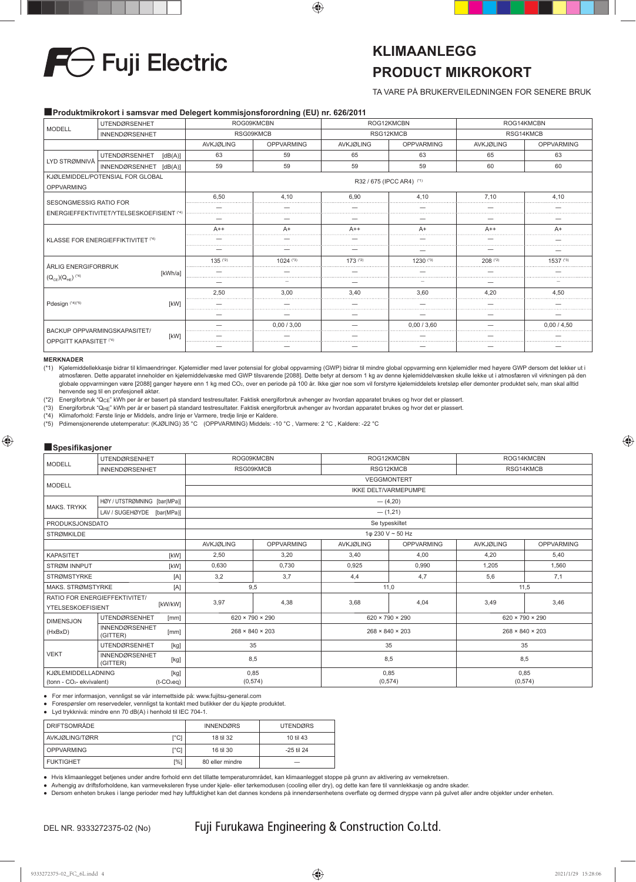

## **KLIMAANLEGG PRODUCT MIKROKORT**

TA VARE PÅ BRUKERVEILEDNINGEN FOR SENERE BRUK

### ■**Produktmikrokort i samsvar med Delegert kommisjonsforordning (EU) nr. 626/2011**

| UTENDØRSENHET                                                              |                                                               |                  | ROG09KMCBN        | ROG12KMCBN       |                   | ROG14KMCBN       |                   |
|----------------------------------------------------------------------------|---------------------------------------------------------------|------------------|-------------------|------------------|-------------------|------------------|-------------------|
| <b>MODELL</b>                                                              | <b>INNENDØRSENHET</b>                                         |                  | RSG09KMCB         |                  | RSG12KMCB         |                  | RSG14KMCB         |
|                                                                            |                                                               | <b>AVKJØLING</b> | <b>OPPVARMING</b> | <b>AVKJØLING</b> | <b>OPPVARMING</b> | <b>AVKJØLING</b> | <b>OPPVARMING</b> |
|                                                                            | <b>UTENDØRSENHET</b><br>[dB(A)]                               | 63               | 59                | 65               | 63                | 65               | 63                |
| LYD STRØMNIVÅ                                                              | <b>INNENDØRSENHET</b><br>[dB(A)]                              | 59               | 59                | 59               | 59                | 60               | 60                |
| <b>OPPVARMING</b>                                                          | KJØLEMIDDEL/POTENSIAL FOR GLOBAL<br>R32 / 675 (IPCC AR4) (*1) |                  |                   |                  |                   |                  |                   |
|                                                                            |                                                               | 6.50             | 4.10              | 6.90             | 4.10              | 7.10             | 4.10              |
| <b>SESONGMESSIG RATIO FOR</b><br>ENERGIEFFEKTIVITET/YTELSESKOEFISIENT (*4) |                                                               |                  |                   |                  |                   |                  |                   |
|                                                                            |                                                               |                  |                   |                  |                   |                  |                   |
|                                                                            |                                                               | $A++$            | A+                | $A++$            | A+<br>            | $A++$            | A+                |
|                                                                            | <b>KLASSE FOR ENERGIEFFIKTIVITET (*4)</b>                     |                  |                   |                  |                   |                  |                   |
|                                                                            |                                                               |                  |                   |                  |                   |                  |                   |
| ÅRLIG ENERGIFORBRUK                                                        |                                                               | $135$ ( $2$ )    | $1024$ (*3)       | $173$ (*2)       | $1230$ (*3)       | $208$ (*2)       | 1537 (*3)         |
|                                                                            | [kWh/a]                                                       |                  |                   |                  |                   |                  |                   |
| $(Q_{CE}) (Q_{HE})$ <sup>(*4)</sup>                                        |                                                               |                  |                   |                  |                   |                  |                   |
|                                                                            |                                                               | 2.50             | 3.00              | 3.40             | 3.60              | 4.20             | 4.50              |
| Pdesign (*4)(*5)                                                           | <b>IKWI</b>                                                   |                  |                   |                  |                   |                  |                   |
|                                                                            |                                                               |                  |                   |                  |                   |                  |                   |
|                                                                            | BACKUP OPPVARMINGSKAPASITET/                                  |                  | 0.00 / 3.00       |                  | 0.00/3.60         |                  | 0.00 / 4.50       |
| OPPGITT KAPASITET (*4)                                                     | [kW]                                                          |                  |                   |                  |                   |                  |                   |
|                                                                            |                                                               |                  |                   |                  |                   |                  |                   |

#### **MERKNADER**

(\*1) Kjølemiddellekkasje bidrar til klimaendringer. Kjølemidler med laver potensial for global oppvarming (GWP) bidrar til mindre global oppvarming enn kjølemidler med høyere GWP dersom det lekker ut i atmosfæren. Dette apparatet inneholder en kjølemiddelvæske med GWP tilsvarende [2088]. Dette betyr at dersom 1 kg av denne kjølemiddelvæsken skulle lekke ut i atmosfæren vil virkningen på den globale oppvarmingen være [2088] ganger høyere enn 1 kg med CO2, over en periode på 100 år. Ikke gjør noe som vil forstyrre kjølemiddelets kretsløp eller demonter produktet selv, man skal alltid

henvende seg til en profesjonell aktør.<br>(\*2) Energiforbruk "Q<sub>CE</sub>" kWh per år er basert på standard testresultater. Faktisk energiforbruk avhenger av hvordan apparatet brukes og hvor det er plassert.

(\*3) Energiforbruk "QHE" kWh per år er basert på standard testresultater. Faktisk energiforbruk avhenger av hvordan apparatet brukes og hvor det er plassert.

(\*4) Klimaforhold: Første linje er Middels, andre linje er Varmere, tredje linje er Kaldere.<br>(\*5) Pdimensionerende utetemperatur: (KJØLING) 35 °C (OPPVARMING) Middels: -1

(\*5) Pdimensjonerende utetemperatur: (KJØLING) 35 °C (OPPVARMING) Middels: -10 °C , Varmere: 2 °C , Kaldere: -22 °C

### ■**Spesifi kasjoner**

| <b>MODELL</b>                                                      | <b>UTENDØRSENHET</b>                      |                             | ROG09KMCBN        |                  | ROG12KMCBN                  | ROG14KMCBN       |                                                                                                            |  |
|--------------------------------------------------------------------|-------------------------------------------|-----------------------------|-------------------|------------------|-----------------------------|------------------|------------------------------------------------------------------------------------------------------------|--|
|                                                                    | <b>INNENDØRSENHET</b>                     | RSG09KMCB                   |                   | RSG12KMCB        |                             | RSG14KMCB        |                                                                                                            |  |
| <b>MODELL</b>                                                      |                                           | <b>VEGGMONTERT</b>          |                   |                  |                             |                  |                                                                                                            |  |
|                                                                    |                                           |                             |                   |                  | <b>IKKE DELT/VARMEPUMPE</b> |                  |                                                                                                            |  |
| <b>MAKS, TRYKK</b>                                                 | HØY / UTSTRØMNING [bar(MPa)]              |                             |                   |                  | $-$ (4,20)                  |                  |                                                                                                            |  |
|                                                                    | LAV / SUGEHØYDE [bar(MPa)]                |                             |                   |                  | $-$ (1,21)                  |                  |                                                                                                            |  |
| PRODUKSJONSDATO                                                    |                                           |                             |                   |                  | Se typeskiltet              |                  |                                                                                                            |  |
| 1φ 230 V ~ 50 Hz<br><b>STRØMKILDE</b>                              |                                           |                             |                   |                  |                             |                  |                                                                                                            |  |
|                                                                    |                                           | <b>AVKJØLING</b>            | <b>OPPVARMING</b> | <b>AVKJØLING</b> | <b>OPPVARMING</b>           | <b>AVKJØLING</b> | <b>OPPVARMING</b>                                                                                          |  |
| <b>KAPASITET</b><br>[kW]                                           |                                           | 2,50                        | 3,20              | 3.40             | 4,00                        | 4,20             | 5.40                                                                                                       |  |
| STRØM INNPUT<br>[kW]                                               |                                           | 0.630                       | 0,730             | 0,925            | 0,990                       | 1,205            | 1,560                                                                                                      |  |
| <b>STRØMSTYRKE</b>                                                 | [A]                                       | 3,2                         | 3.7               | 4,4              | 4,7                         | 5,6              | 7,1                                                                                                        |  |
| MAKS, STRØMSTYRKE                                                  | [A]                                       | 9,5                         |                   | 11,0             |                             |                  | 11,5                                                                                                       |  |
|                                                                    | RATIO FOR ENERGIEFFEKTIVITET/<br>[kW/kW]  | 3,97                        | 4,38              | 3,68             | 4,04                        |                  |                                                                                                            |  |
| <b>YTELSESKOEFISIENT</b>                                           |                                           |                             |                   |                  |                             |                  |                                                                                                            |  |
| <b>DIMENSJON</b>                                                   | <b>UTENDØRSENHET</b><br>[mm]              | $620 \times 790 \times 290$ |                   |                  | $620 \times 790 \times 290$ |                  | 3,49<br>3,46<br>$620 \times 790 \times 290$<br>$268 \times 840 \times 203$<br>35<br>8,5<br>0,85<br>(0,574) |  |
| (HxBxD)                                                            | <b>INNENDØRSENHET</b><br>[mm]<br>(GITTER) | $268 \times 840 \times 203$ |                   |                  | $268 \times 840 \times 203$ |                  |                                                                                                            |  |
|                                                                    | 35<br><b>UTENDØRSENHET</b><br>[kg]        |                             |                   | 35               |                             |                  |                                                                                                            |  |
| <b>VEKT</b><br><b>INNENDØRSENHET</b><br>8,5<br>[kg]<br>(GITTER)    |                                           |                             |                   | 8,5              |                             |                  |                                                                                                            |  |
| <b>KJØLEMIDDELLADNING</b><br>(tonn - CO <sub>2</sub> - ekvivalent) | [kg]<br>$(t-CO_2eq)$                      | 0,85<br>(0,574)             |                   |                  | 0,85<br>(0,574)             |                  |                                                                                                            |  |

● For mer informasjon, vennligst se vår internettside på: www.fujitsu-general.com

● Forespørsler om reservedeler, vennligst ta kontakt med butikker der du kjøpte produktet.

● Lyd trykknivå: mindre enn 70 dB(A) i henhold til IEC 704-1.

| <b>DRIFTSOMRÅDE</b> |      | <b>INNENDØRS</b> | <b>UTENDØRS</b> |
|---------------------|------|------------------|-----------------|
| AVKJØLING/TØRR      | r°C1 | 18 til 32        | 10 til 43       |
| <b>OPPVARMING</b>   | r°C1 | 16 til 30        | -25 til 24      |
| <b>FUKTIGHET</b>    | [%]  | 80 eller mindre  | -               |

● Hvis klimaanlegget betjenes under andre forhold enn det tillatte temperaturområdet, kan klimaanlegget stoppe på grunn av aktivering av vernekretsen.

● Avhengig av driftsforholdene, kan varmeveksleren fryse under kjøle- eller tørkemodusen (cooling eller dry), og dette kan føre til vannlekkasje og andre skader.<br>● Dersom enheten brukes i lange perioder med høy luftfuktig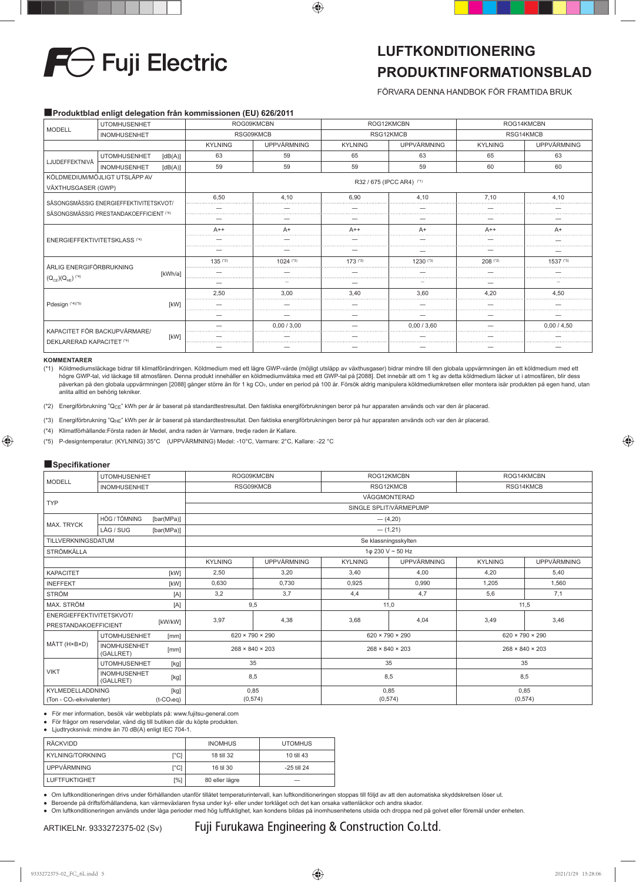

## **LUFTKONDITIONERING PRODUKTINFORMATIONSBLAD**

FÖRVARA DENNA HANDBOK FÖR FRAMTIDA BRUK

### ■**Produktblad enligt delegation från kommissionen (EU) 626/2011**

| <b>UTOMHUSENHET</b><br><b>MODELL</b><br><b>INOMHUSENHET</b> |                              | ROG09KMCBN                |                | ROG12KMCBN  |                | ROG14KMCBN         |                |             |  |
|-------------------------------------------------------------|------------------------------|---------------------------|----------------|-------------|----------------|--------------------|----------------|-------------|--|
|                                                             |                              | RSG09KMCB                 |                | RSG12KMCB   |                | RSG14KMCB          |                |             |  |
|                                                             |                              |                           | <b>KYLNING</b> | UPPVÄRMNING | <b>KYLNING</b> | <b>UPPVÄRMNING</b> | <b>KYLNING</b> | UPPVÄRMNING |  |
|                                                             | <b>UTOMHUSENHET</b>          | [dB(A)]                   | 63             | 59          | 65             | 63                 | 65             | 63          |  |
| LJUDEFFEKTNIVÅ                                              | <b>INOMHUSENHET</b>          | [dB(A)]                   | 59             | 59          | 59             | 59                 | 60             | 60          |  |
| KÖLDMEDIUM/MÖJLIGT UTSLÄPP AV<br>VÄXTHUSGASER (GWP)         |                              | R32 / 675 (IPCC AR4) (*1) |                |             |                |                    |                |             |  |
| SÄSONGSMÄSSIG ENERGIEFFEKTIVITETSKVOT/                      |                              | 6.50                      | 4.10           | 6.90        | 4.10           | 7.10               | 4.10           |             |  |
| SÄSONGSMÄSSIG PRESTANDAKOEFFICIENT (*4)                     |                              |                           |                |             |                |                    |                |             |  |
|                                                             |                              |                           |                |             |                |                    |                |             |  |
| <b>ENERGIEFFEKTIVITETSKLASS (*4)</b>                        |                              | $A++$                     | $A+$           | $A++$       | $A+$           | $A++$              | $A+$           |             |  |
|                                                             |                              |                           |                |             |                |                    |                |             |  |
|                                                             |                              |                           |                |             |                |                    |                |             |  |
| ÅRLIG ENERGIFÖRBRUKNING                                     |                              | $135$ <sup>(*2)</sup>     | $1024$ (*3)    | $173$ (*2)  | 1230 (*3)      | $208$ (*2)         | $1537$ (*3)    |             |  |
|                                                             |                              | [kWh/a]                   |                |             |                |                    |                |             |  |
| $(Q_{CE}) (Q_{HE})$ (4)                                     |                              |                           |                |             |                |                    |                |             |  |
|                                                             |                              |                           | 2,50           | 3.00        | 3,40           | 3.60               | 4.20           | 4,50        |  |
| Pdesign (*4)(*5)                                            |                              | [kW]                      |                |             |                |                    |                |             |  |
|                                                             |                              |                           |                |             |                |                    |                |             |  |
|                                                             | KAPACITET FÖR BACKUPVÄRMARE/ |                           |                | 0.00/3.00   |                | 0.00 / 3.60        |                | 0.00 / 4.50 |  |
| DEKLARERAD KAPACITET (*4)                                   |                              | [kW]                      |                |             |                |                    |                |             |  |
|                                                             |                              |                           |                |             |                |                    |                |             |  |

#### **KOMMENTARER**

(\*1) Köldmediumsläckage bidrar till klimatförändringen. Köldmedium med ett lägre GWP-värde (möjligt utsläpp av växthusgaser) bidrar mindre till den globala uppvärmningen än ett köldmedium med ett högre GWP-tal, vid läckage till atmosfären. Denna produkt innehåller en köldmediumvätska med ett GWP-tal på [2088]. Det innebär att om 1 kg av detta köldmedium läcker ut i atmosfären, blir dess påverkan på den globala uppvärmningen [2088] gånger större än för 1 kg CO<sub>2</sub>, under en period på 100 år. Försök aldrig manipulera köldmediumkretsen eller montera isär produkten på egen hand, utan anlita alltid en behörig tekniker.

(\*2) Energiförbrukning "QCE" kWh per år är baserat på standardtestresultat. Den faktiska energiförbrukningen beror på hur apparaten används och var den är placerad.

(\*3) Energiförbrukning "QHE" kWh per år är baserat på standardtestresultat. Den faktiska energiförbrukningen beror på hur apparaten används och var den är placerad.

(\*4) Klimatförhållande:Första raden är Medel, andra raden är Varmare, tredje raden är Kallare.

(\*5) P-designtemperatur: (KYLNING) 35°C (UPPVÄRMNING) Medel: -10°C, Varmare: 2°C, Kallare: -22 °C

### ■**Specifikationer**

| <b>MODELL</b>                                            | <b>UTOMHUSENHET</b>              |                             | ROG09KMCBN                  |                             | ROG12KMCBN                  |                             | ROG14KMCBN                  |             |  |  |
|----------------------------------------------------------|----------------------------------|-----------------------------|-----------------------------|-----------------------------|-----------------------------|-----------------------------|-----------------------------|-------------|--|--|
|                                                          | <b>INOMHUSENHET</b>              |                             | RSG09KMCB                   |                             | RSG12KMCB                   |                             | RSG14KMCB                   |             |  |  |
| <b>TYP</b>                                               |                                  | VÄGGMONTERAD                |                             |                             |                             |                             |                             |             |  |  |
|                                                          |                                  |                             | SINGLE SPLIT/VÄRMEPUMP      |                             |                             |                             |                             |             |  |  |
| <b>MAX. TRYCK</b>                                        | HÖG / TÖMNING                    | [bar(MPa)]                  |                             | $-$ (4,20)                  |                             |                             |                             |             |  |  |
|                                                          | LÅG / SUG                        | [bar(MPa)]                  | $-$ (1,21)                  |                             |                             |                             |                             |             |  |  |
| TILLVERKNINGSDATUM                                       |                                  |                             |                             |                             |                             | Se klassningsskylten        |                             |             |  |  |
| <b>STRÖMKÄLLA</b>                                        |                                  |                             |                             |                             |                             | 1φ 230 V ~ 50 Hz            |                             |             |  |  |
|                                                          |                                  |                             | <b>KYLNING</b>              | <b>UPPVÄRMNING</b>          | <b>KYLNING</b>              | <b>UPPVÄRMNING</b>          | <b>KYLNING</b>              | UPPVÄRMNING |  |  |
| <b>KAPACITET</b><br>[kW]                                 |                                  | 2,50                        | 3,20                        | 3,40                        | 4,00                        | 4,20                        | 5,40                        |             |  |  |
| <b>INEFFEKT</b><br>[kW]                                  |                                  | 0,630                       | 0,730                       | 0,925                       | 0,990                       | 1,205                       | 1,560                       |             |  |  |
| <b>STRÖM</b>                                             |                                  | [A]                         | 3,2                         | 3,7                         | 4,4                         | 4,7                         | 5,6                         | 7,1         |  |  |
| MAX. STRÖM<br>[A]                                        |                                  | 9,5                         |                             | 11,0                        |                             | 11,5                        |                             |             |  |  |
| ENERGIEFFEKTIVITETSKVOT/                                 |                                  | 3,97                        | 4,38                        | 3,68                        | 4,04                        | 3,49                        | 3,46                        |             |  |  |
| PRESTANDAKOEFFICIENT                                     |                                  | [kW/kW]                     |                             |                             |                             |                             |                             |             |  |  |
|                                                          | <b>UTOMHUSENHET</b>              | [mm]                        | $620 \times 790 \times 290$ |                             | $620 \times 790 \times 290$ |                             | $620 \times 790 \times 290$ |             |  |  |
| MÅTT (H×B×D)<br><b>INOMHUSENHET</b><br>[mm]<br>(GALLRET) |                                  | $268 \times 840 \times 203$ |                             | $268 \times 840 \times 203$ |                             | $268 \times 840 \times 203$ |                             |             |  |  |
| <b>UTOMHUSENHET</b><br>[kg]                              |                                  | 35                          |                             | 35                          |                             | 35                          |                             |             |  |  |
| <b>VIKT</b>                                              | <b>INOMHUSENHET</b><br>(GALLRET) | [kg]                        | 8,5                         |                             | 8,5                         |                             | 8,5                         |             |  |  |
|                                                          | KYLMEDELLADDNING<br>[kg]         |                             | 0,85                        |                             | 0,85                        |                             | 0,85                        |             |  |  |
| (Ton - CO <sub>2</sub> -ekvivalenter)<br>$(t-CO_2eq)$    |                                  |                             | (0, 574)                    |                             | (0,574)                     |                             | (0,574)                     |             |  |  |

● För mer information, besök vår webbplats på: www.fujitsu-general.com

● För frågor om reservdelar, vänd dig till butiken där du köpte produkten.

● Ljudtrycksnivå: mindre än 70 dB(A) enligt IEC 704-1.

| <b>RÄCKVIDD</b>      |      | <b>INOMHUS</b> | <b>UTOMHUS</b> |  |
|----------------------|------|----------------|----------------|--|
|                      |      |                |                |  |
| l KYLNING/TORKNING   | [°C] | 18 till 32     | 10 till 43     |  |
| UPPVÄRMNING          | [°C] | 16 til 30      | -25 till 24    |  |
| <b>LUFTFUKTIGHET</b> | [%]  | 80 eller lägre |                |  |

● Om luftkonditioneringen drivs under förhållanden utanför tillåtet temperaturintervall, kan luftkonditioneringen stoppas till följd av att den automatiska skyddskretsen löser ut.

● Beroende på driftsförhållandena, kan värmeväxlaren frysa under kyl- eller under torkläget och det kan orsaka vattenläckor och andra skador.

● Om luftkonditioneringen används under låga perioder med hög luftfuktighet, kan kondens bildas på inomhusenhetens utsida och droppa ned på golvet eller föremål under enheten.

Fuji Furukawa Engineering & Construction Co.Ltd.